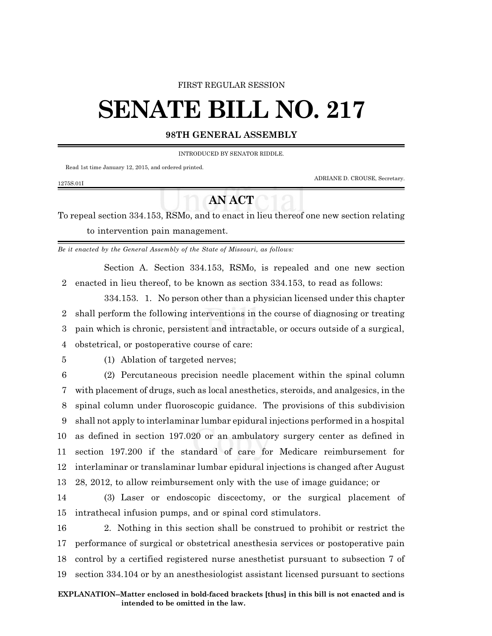#### FIRST REGULAR SESSION

# **SENATE BILL NO. 217**

### **98TH GENERAL ASSEMBLY**

INTRODUCED BY SENATOR RIDDLE.

Read 1st time January 12, 2015, and ordered printed.

ADRIANE D. CROUSE, Secretary.

#### 1275S.01I

## **AN ACT**

To repeal section 334.153, RSMo, and to enact in lieu thereof one new section relating to intervention pain management.

*Be it enacted by the General Assembly of the State of Missouri, as follows:*

Section A. Section 334.153, RSMo, is repealed and one new section 2 enacted in lieu thereof, to be known as section 334.153, to read as follows:

334.153. 1. No person other than a physician licensed under this chapter 2 shall perform the following interventions in the course of diagnosing or treating 3 pain which is chronic, persistent and intractable, or occurs outside of a surgical,

4 obstetrical, or postoperative course of care:

5 (1) Ablation of targeted nerves;

 (2) Percutaneous precision needle placement within the spinal column with placement of drugs, such as local anesthetics, steroids, and analgesics, in the spinal column under fluoroscopic guidance. The provisions of this subdivision shall not apply to interlaminar lumbar epidural injections performed in a hospital as defined in section 197.020 or an ambulatory surgery center as defined in section 197.200 if the standard of care for Medicare reimbursement for interlaminar or translaminar lumbar epidural injections is changed after August 28, 2012, to allow reimbursement only with the use of image guidance; or

14 (3) Laser or endoscopic discectomy, or the surgical placement of 15 intrathecal infusion pumps, and or spinal cord stimulators.

 2. Nothing in this section shall be construed to prohibit or restrict the performance of surgical or obstetrical anesthesia services or postoperative pain control by a certified registered nurse anesthetist pursuant to subsection 7 of section 334.104 or by an anesthesiologist assistant licensed pursuant to sections